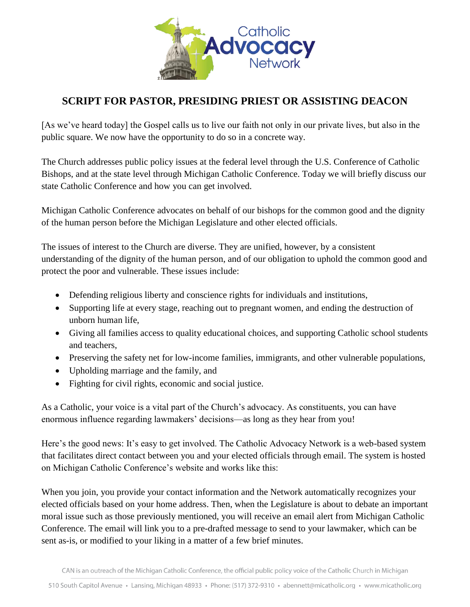

## **SCRIPT FOR PASTOR, PRESIDING PRIEST OR ASSISTING DEACON**

[As we've heard today] the Gospel calls us to live our faith not only in our private lives, but also in the public square. We now have the opportunity to do so in a concrete way.

The Church addresses public policy issues at the federal level through the U.S. Conference of Catholic Bishops, and at the state level through Michigan Catholic Conference. Today we will briefly discuss our state Catholic Conference and how you can get involved.

Michigan Catholic Conference advocates on behalf of our bishops for the common good and the dignity of the human person before the Michigan Legislature and other elected officials.

The issues of interest to the Church are diverse. They are unified, however, by a consistent understanding of the dignity of the human person, and of our obligation to uphold the common good and protect the poor and vulnerable. These issues include:

- Defending religious liberty and conscience rights for individuals and institutions,
- Supporting life at every stage, reaching out to pregnant women, and ending the destruction of unborn human life,
- Giving all families access to quality educational choices, and supporting Catholic school students and teachers,
- Preserving the safety net for low-income families, immigrants, and other vulnerable populations,
- Upholding marriage and the family, and
- Fighting for civil rights, economic and social justice.

As a Catholic, your voice is a vital part of the Church's advocacy. As constituents, you can have enormous influence regarding lawmakers' decisions—as long as they hear from you!

Here's the good news: It's easy to get involved. The Catholic Advocacy Network is a web-based system that facilitates direct contact between you and your elected officials through email. The system is hosted on Michigan Catholic Conference's website and works like this:

When you join, you provide your contact information and the Network automatically recognizes your elected officials based on your home address. Then, when the Legislature is about to debate an important moral issue such as those previously mentioned, you will receive an email alert from Michigan Catholic Conference. The email will link you to a pre-drafted message to send to your lawmaker, which can be sent as-is, or modified to your liking in a matter of a few brief minutes.

CAN is an outreach of the Michigan Catholic Conference, the official public policy voice of the Catholic Church in Michigan